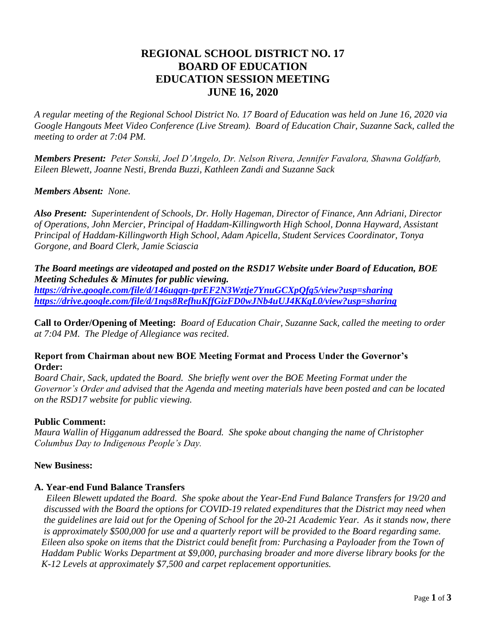# **REGIONAL SCHOOL DISTRICT NO. 17 BOARD OF EDUCATION EDUCATION SESSION MEETING JUNE 16, 2020**

*A regular meeting of the Regional School District No. 17 Board of Education was held on June 16, 2020 via Google Hangouts Meet Video Conference (Live Stream). Board of Education Chair, Suzanne Sack, called the meeting to order at 7:04 PM.*

*Members Present: Peter Sonski, Joel D'Angelo, Dr. Nelson Rivera, Jennifer Favalora, Shawna Goldfarb, Eileen Blewett, Joanne Nesti, Brenda Buzzi, Kathleen Zandi and Suzanne Sack*

#### *Members Absent: None.*

*Also Present: Superintendent of Schools, Dr. Holly Hageman, Director of Finance, Ann Adriani, Director of Operations, John Mercier, Principal of Haddam-Killingworth High School, Donna Hayward, Assistant Principal of Haddam-Killingworth High School, Adam Apicella, Student Services Coordinator, Tonya Gorgone, and Board Clerk, Jamie Sciascia* 

*The Board meetings are videotaped and posted on the RSD17 Website under Board of Education, BOE Meeting Schedules & Minutes for public viewing.* 

*<https://drive.google.com/file/d/146ugqn-tprEF2N3Wztje7YnuGCXpQfg5/view?usp=sharing> <https://drive.google.com/file/d/1nqs8RefhuKffGizFD0wJNb4uUJ4KKgL0/view?usp=sharing>*

**Call to Order/Opening of Meeting:** *Board of Education Chair, Suzanne Sack, called the meeting to order at 7:04 PM. The Pledge of Allegiance was recited.*

#### **Report from Chairman about new BOE Meeting Format and Process Under the Governor's Order:**

*Board Chair, Sack, updated the Board. She briefly went over the BOE Meeting Format under the Governor's Order and advised that the Agenda and meeting materials have been posted and can be located on the RSD17 website for public viewing.* 

# **Public Comment:**

*Maura Wallin of Higganum addressed the Board. She spoke about changing the name of Christopher Columbus Day to Indigenous People's Day.*

#### **New Business:**

# **A. Year-end Fund Balance Transfers**

 *Eileen Blewett updated the Board. She spoke about the Year-End Fund Balance Transfers for 19/20 and discussed with the Board the options for COVID-19 related expenditures that the District may need when the guidelines are laid out for the Opening of School for the 20-21 Academic Year. As it stands now, there is approximately \$500,000 for use and a quarterly report will be provided to the Board regarding same. Eileen also spoke on items that the District could benefit from: Purchasing a Payloader from the Town of Haddam Public Works Department at \$9,000, purchasing broader and more diverse library books for the K-12 Levels at approximately \$7,500 and carpet replacement opportunities.*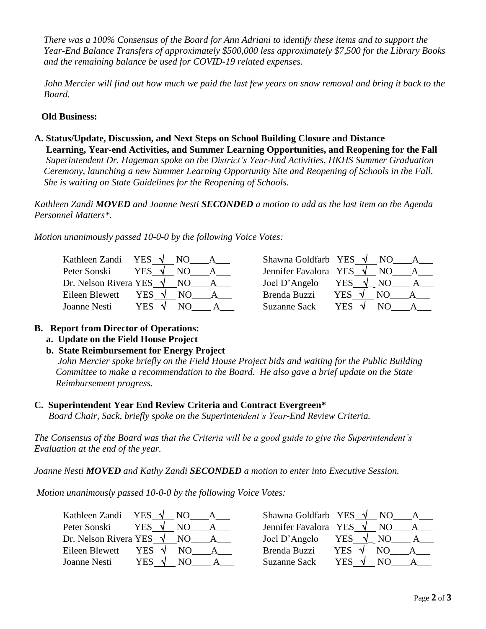*There was a 100% Consensus of the Board for Ann Adriani to identify these items and to support the Year-End Balance Transfers of approximately \$500,000 less approximately \$7,500 for the Library Books and the remaining balance be used for COVID-19 related expenses.*

 *John Mercier will find out how much we paid the last few years on snow removal and bring it back to the Board.*

### **Old Business:**

**A. Status/Update, Discussion, and Next Steps on School Building Closure and Distance Learning, Year-end Activities, and Summer Learning Opportunities, and Reopening for the Fall**   *Superintendent Dr. Hageman spoke on the District's Year-End Activities, HKHS Summer Graduation Ceremony, launching a new Summer Learning Opportunity Site and Reopening of Schools in the Fall. She is waiting on State Guidelines for the Reopening of Schools.*

*Kathleen Zandi MOVED and Joanne Nesti SECONDED a motion to add as the last item on the Agenda Personnel Matters\*.*

*Motion unanimously passed 10-0-0 by the following Voice Votes:*

| Kathleen Zandi                  | YES $\sqrt{ }$ | NO. | Shawna Goldfarb YES $\sqrt{}$ |                |      |  |
|---------------------------------|----------------|-----|-------------------------------|----------------|------|--|
| Peter Sonski                    | YES .          | NO. | Jennifer Favalora YES         |                | NO.  |  |
| Dr. Nelson Rivera YES $\sqrt{}$ |                | NO. | Joel D'Angelo                 | YES $\sqrt{ }$ | - NO |  |
| Eileen Blewett                  | YES $\sqrt{ }$ | N() | Brenda Buzzi                  | YES.           | N()  |  |
| Joanne Nesti                    | YES            | NO  | Suzanne Sack                  | YES            |      |  |

| Shawna Goldfarb YES   |            | NO. |  |
|-----------------------|------------|-----|--|
| Jennifer Favalora YES |            | NО  |  |
| Joel D'Angelo         | <b>YES</b> | NO  |  |
| Brenda Buzzi          | <b>YES</b> | NO. |  |
| Suzanne Sack          | <b>YES</b> | NΟ  |  |

# **B. Report from Director of Operations:**

#### **a. Update on the Field House Project**

# **b. State Reimbursement for Energy Project**

*John Mercier spoke briefly on the Field House Project bids and waiting for the Public Building Committee to make a recommendation to the Board. He also gave a brief update on the State Reimbursement progress.*

#### **C. Superintendent Year End Review Criteria and Contract Evergreen\***

*Board Chair, Sack, briefly spoke on the Superintendent's Year-End Review Criteria.*

*The Consensus of the Board was that the Criteria will be a good guide to give the Superintendent's Evaluation at the end of the year.*

*Joanne Nesti MOVED and Kathy Zandi SECONDED a motion to enter into Executive Session.*

*Motion unanimously passed 10-0-0 by the following Voice Votes:*

| Kathleen Zandi                  | YES $\sqrt{NQ}$       | Shawna Goldfarb YES $\sqrt{N}$ NO |                 |
|---------------------------------|-----------------------|-----------------------------------|-----------------|
| Peter Sonski                    | YES √                 | Jennifer Favalora YES $\sqrt{}$   | NO.             |
| Dr. Nelson Rivera YES $\sqrt{}$ | NO.                   | Joel D'Angelo                     | YES $\sqrt{NO}$ |
| Eileen Blewett                  | YES $\sqrt{ }$<br>NO. | Brenda Buzzi                      | YES V<br>NO.    |
| Joanne Nesti                    | YES<br>NO             | <b>Suzanne Sack</b>               | YES V<br>N()    |